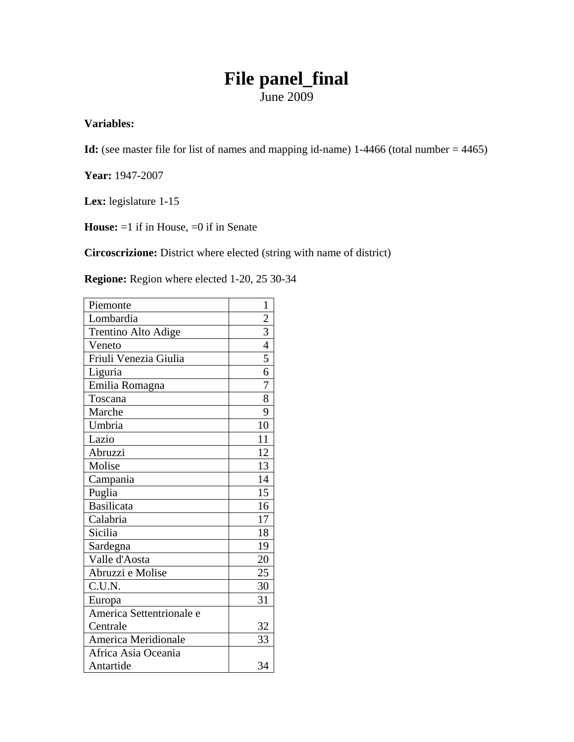# **File panel\_final**  June 2009

#### **Variables:**

**Id:** (see master file for list of names and mapping id-name) 1-4466 (total number = 4465)

**Year:** 1947-2007

Lex: legislature 1-15

**House:**  $=1$  if in House,  $=0$  if in Senate

**Circoscrizione:** District where elected (string with name of district)

**Regione:** Region where elected 1-20, 25 30-34

| Piemonte                 | 1              |
|--------------------------|----------------|
| Lombardia                | $\overline{2}$ |
| Trentino Alto Adige      | $\overline{3}$ |
| Veneto                   | $\overline{4}$ |
| Friuli Venezia Giulia    | 5              |
| Liguria                  | 6              |
| Emilia Romagna           | 7              |
| Toscana                  | 8              |
| Marche                   | 9              |
| Umbria                   | 10             |
| Lazio                    | 11             |
| Abruzzi                  | 12             |
| Molise                   | 13             |
| Campania                 | 14             |
| Puglia                   | 15             |
| <b>Basilicata</b>        | 16             |
| Calabria                 | 17             |
| Sicilia                  | 18             |
| Sardegna                 | 19             |
| Valle d'Aosta            | 20             |
| Abruzzi e Molise         | 25             |
| C.U.N.                   | 30             |
| Europa                   | 31             |
| America Settentrionale e |                |
| Centrale                 | 32             |
| America Meridionale      | 33             |
| Africa Asia Oceania      |                |
| Antartide                | 34             |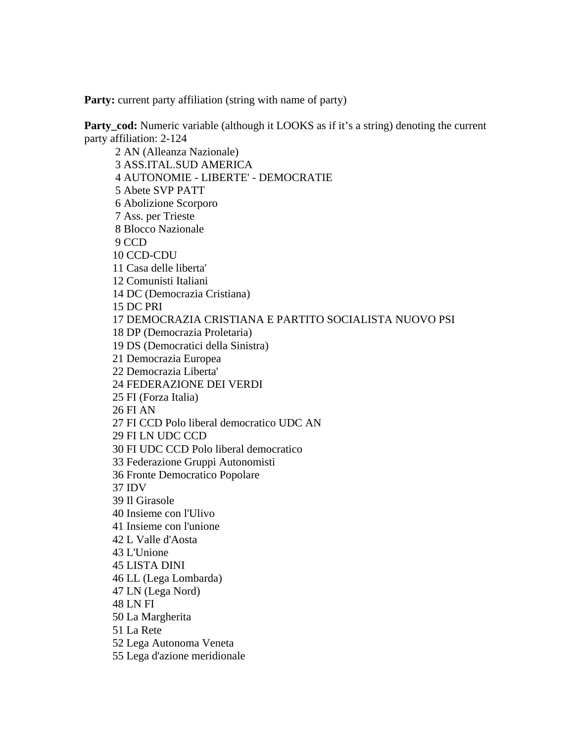**Party:** current party affiliation (string with name of party)

**Party\_cod:** Numeric variable (although it LOOKS as if it's a string) denoting the current party affiliation: 2-124

 2 AN (Alleanza Nazionale) 3 ASS.ITAL.SUD AMERICA 4 AUTONOMIE - LIBERTE' - DEMOCRATIE 5 Abete SVP PATT 6 Abolizione Scorporo 7 Ass. per Trieste 8 Blocco Nazionale 9 CCD 10 CCD-CDU 11 Casa delle liberta' 12 Comunisti Italiani 14 DC (Democrazia Cristiana) 15 DC PRI 17 DEMOCRAZIA CRISTIANA E PARTITO SOCIALISTA NUOVO PSI 18 DP (Democrazia Proletaria) 19 DS (Democratici della Sinistra) 21 Democrazia Europea 22 Democrazia Liberta' 24 FEDERAZIONE DEI VERDI 25 FI (Forza Italia) 26 FI AN 27 FI CCD Polo liberal democratico UDC AN 29 FI LN UDC CCD 30 FI UDC CCD Polo liberal democratico 33 Federazione Gruppi Autonomisti 36 Fronte Democratico Popolare 37 IDV 39 Il Girasole 40 Insieme con l'Ulivo 41 Insieme con l'unione 42 L Valle d'Aosta 43 L'Unione 45 LISTA DINI 46 LL (Lega Lombarda) 47 LN (Lega Nord) 48 LN FI 50 La Margherita 51 La Rete 52 Lega Autonoma Veneta 55 Lega d'azione meridionale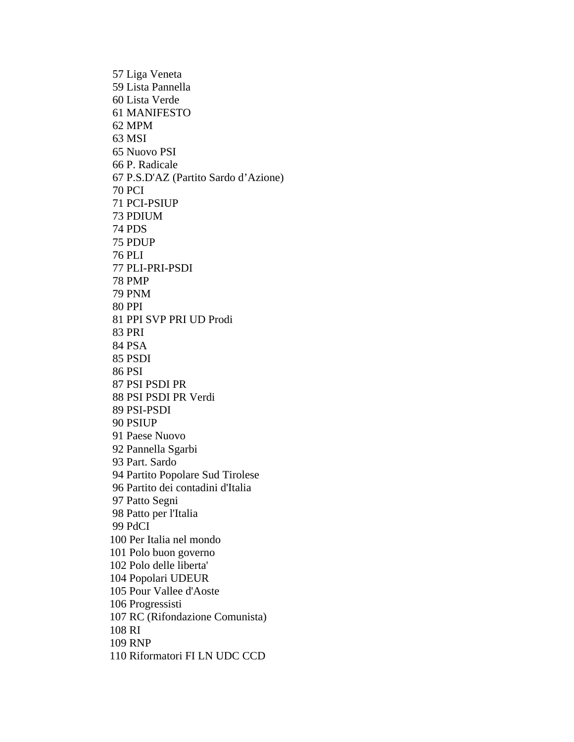57 Liga Veneta 59 Lista Pannella 60 Lista Verde 61 MANIFESTO 62 MPM 63 MSI 65 Nuovo PSI 66 P. Radicale 67 P.S.D'AZ (Partito Sardo d'Azione) 70 PCI 71 PCI-PSIUP 73 PDIUM 74 PDS 75 PDUP 76 PLI 77 PLI-PRI-PSDI 78 PMP 79 PNM 80 PPI 81 PPI SVP PRI UD Prodi 83 PRI 84 PSA 85 PSDI 86 PSI 87 PSI PSDI PR 88 PSI PSDI PR Verdi 89 PSI-PSDI 90 PSIUP 91 Paese Nuovo 92 Pannella Sgarbi 93 Part. Sardo 94 Partito Popolare Sud Tirolese 96 Partito dei contadini d'Italia 97 Patto Segni 98 Patto per l'Italia 99 PdCI 100 Per Italia nel mondo 101 Polo buon governo 102 Polo delle liberta' 104 Popolari UDEUR 105 Pour Vallee d'Aoste 106 Progressisti 107 RC (Rifondazione Comunista) 108 RI 109 RNP 110 Riformatori FI LN UDC CCD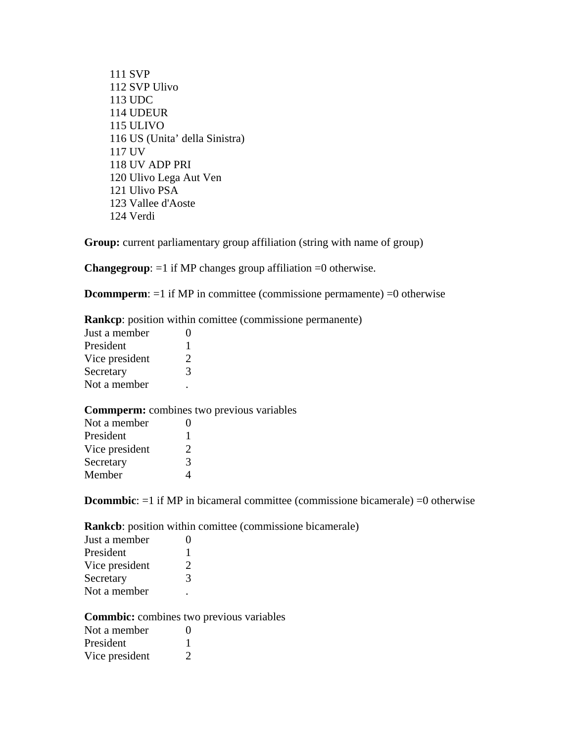111 SVP 112 SVP Ulivo 113 UDC 114 UDEUR 115 ULIVO 116 US (Unita' della Sinistra) 117 UV 118 UV ADP PRI 120 Ulivo Lega Aut Ven 121 Ulivo PSA 123 Vallee d'Aoste 124 Verdi

**Group:** current parliamentary group affiliation (string with name of group)

**Changegroup**: =1 if MP changes group affiliation =0 otherwise.

**Dcommperm**: =1 if MP in committee (commissione permamente) =0 otherwise

**Rankcp**: position within comittee (commissione permanente)

| Just a member  |                             |
|----------------|-----------------------------|
| President      | L                           |
| Vice president | $\mathcal{D}_{\mathcal{L}}$ |
| Secretary      | 3                           |
| Not a member   |                             |

**Commperm:** combines two previous variables

**Dcommbic**:  $=1$  if MP in bicameral committee (commissione bicamerale)  $=0$  otherwise

**Rankcb**: position within comittee (commissione bicamerale)

| Just a member  | 0                           |
|----------------|-----------------------------|
| President      | 1                           |
| Vice president | $\mathcal{D}_{\mathcal{L}}$ |
| Secretary      | 3                           |
| Not a member   |                             |

**Commbic:** combines two previous variables

| Not a member   | $\mathbf{\Omega}$                                                                                                                                               |
|----------------|-----------------------------------------------------------------------------------------------------------------------------------------------------------------|
| President      |                                                                                                                                                                 |
| Vice president | $\mathcal{D}_{\mathcal{A}}^{\mathcal{A}}(\mathcal{A})=\mathcal{D}_{\mathcal{A}}^{\mathcal{A}}(\mathcal{A})\mathcal{D}_{\mathcal{A}}^{\mathcal{A}}(\mathcal{A})$ |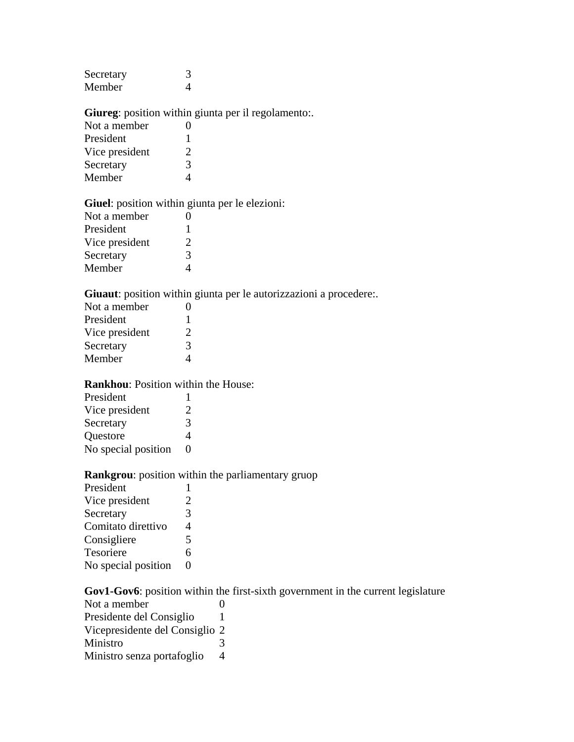| Secretary |  |
|-----------|--|
| Member    |  |

## **Giureg**: position within giunta per il regolamento:.

| Not a member   | 0                           |
|----------------|-----------------------------|
| President      | 1                           |
| Vice president | $\mathcal{D}_{\mathcal{L}}$ |
| Secretary      | 3                           |
| Member         |                             |

#### **Giuel**: position within giunta per le elezioni:

| Not a member   | $\mathbf{\Omega}$           |
|----------------|-----------------------------|
| President      | ı                           |
| Vice president | $\mathcal{D}_{\mathcal{L}}$ |
| Secretary      | 3                           |
| Member         | 4                           |

## **Giuaut**: position within giunta per le autorizzazioni a procedere:.

| 0                           |
|-----------------------------|
| 1                           |
| $\mathcal{D}_{\mathcal{L}}$ |
| 3                           |
| Δ                           |
|                             |

#### **Rankhou**: Position within the House:

| President           |                                                                                                                                                                 |
|---------------------|-----------------------------------------------------------------------------------------------------------------------------------------------------------------|
| Vice president      | $\mathcal{D}_{\mathcal{A}}^{\mathcal{A}}(\mathcal{A})=\mathcal{D}_{\mathcal{A}}^{\mathcal{A}}(\mathcal{A})\mathcal{D}_{\mathcal{A}}^{\mathcal{A}}(\mathcal{A})$ |
| Secretary           | 3                                                                                                                                                               |
| Questore            | 4                                                                                                                                                               |
| No special position | $\mathbf{\Omega}$                                                                                                                                               |

## **Rankgrou**: position within the parliamentary gruop

| President           |                   |
|---------------------|-------------------|
| Vice president      | 2                 |
| Secretary           | 3                 |
| Comitato direttivo  | 4                 |
| Consigliere         | 5                 |
| Tesoriere           | 6                 |
| No special position | $\mathbf{\Omega}$ |

## **Gov1-Gov6**: position within the first-sixth government in the current legislature

| Not a member                   |   |
|--------------------------------|---|
| Presidente del Consiglio       | L |
| Vicepresidente del Consiglio 2 |   |
| Ministro                       | 3 |
| Ministro senza portafoglio     | 4 |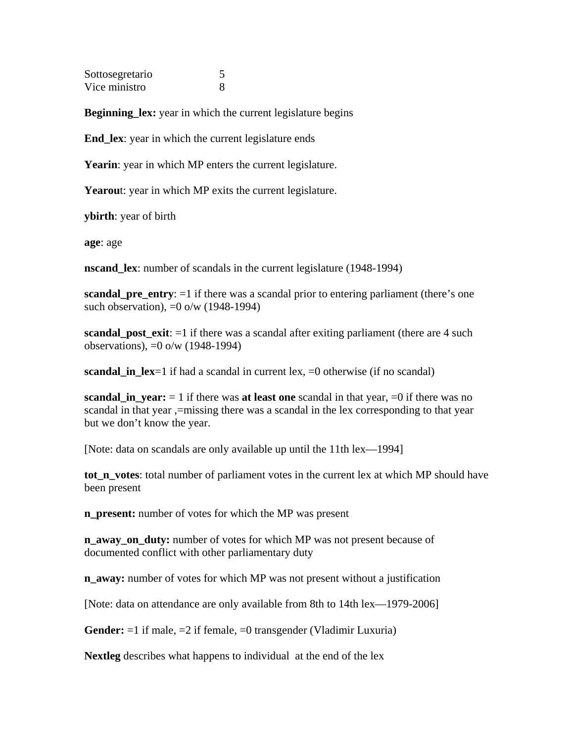Sottosegretario 5 Vice ministro 8

**Beginning\_lex:** year in which the current legislature begins

**End\_lex**: year in which the current legislature ends

**Yearin**: year in which MP enters the current legislature.

**Yearou**t: year in which MP exits the current legislature.

**ybirth**: year of birth

**age**: age

**nscand\_lex**: number of scandals in the current legislature (1948-1994)

**scandal\_pre\_entry**:  $=1$  if there was a scandal prior to entering parliament (there's one such observation), =0 o/w (1948-1994)

**scandal\_post\_exit**:  $=1$  if there was a scandal after exiting parliament (there are 4 such observations), =0 o/w (1948-1994)

**scandal in**  $lex=1$  if had a scandal in current lex,  $=0$  otherwise (if no scandal)

**scandal\_in\_year:**  $= 1$  if there was **at least one** scandal in that year,  $=0$  if there was no scandal in that year ,=missing there was a scandal in the lex corresponding to that year but we don't know the year.

[Note: data on scandals are only available up until the 11th lex—1994]

**tot n** votes: total number of parliament votes in the current lex at which MP should have been present

**n\_present:** number of votes for which the MP was present

**n\_away\_on\_duty:** number of votes for which MP was not present because of documented conflict with other parliamentary duty

**n** away: number of votes for which MP was not present without a justification

[Note: data on attendance are only available from 8th to 14th lex—1979-2006]

**Gender:** =1 if male, =2 if female, =0 transgender (Vladimir Luxuria)

**Nextleg** describes what happens to individual at the end of the lex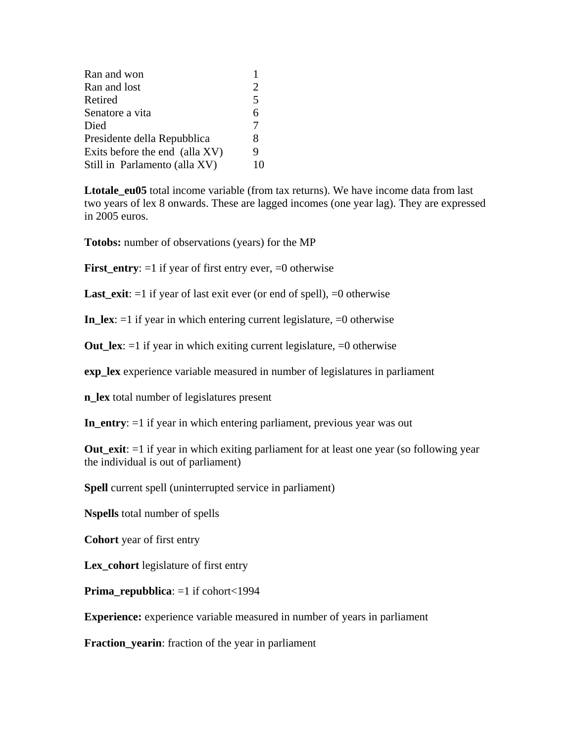| Ran and won                    | 1              |
|--------------------------------|----------------|
| Ran and lost                   | $\overline{2}$ |
| Retired                        | 5              |
| Senatore a vita                | 6              |
| Died                           | $\tau$         |
| Presidente della Repubblica    | 8              |
| Exits before the end (alla XV) | 9              |
| Still in Parlamento (alla XV)  |                |

**Ltotale\_eu05** total income variable (from tax returns). We have income data from last two years of lex 8 onwards. These are lagged incomes (one year lag). They are expressed in 2005 euros.

**Totobs:** number of observations (years) for the MP

**First\_entry**: =1 if year of first entry ever, =0 otherwise

**Last\_exit**: =1 if year of last exit ever (or end of spell), =0 otherwise

**In\_lex**:  $=1$  if year in which entering current legislature,  $=0$  otherwise

**Out** lex:  $=1$  if year in which exiting current legislature,  $=0$  otherwise

**exp\_lex** experience variable measured in number of legislatures in parliament

**n\_lex** total number of legislatures present

**In\_entry**: =1 if year in which entering parliament, previous year was out

**Out** exit:  $=1$  if year in which exiting parliament for at least one year (so following year the individual is out of parliament)

**Spell** current spell (uninterrupted service in parliament)

**Nspells** total number of spells

**Cohort** year of first entry

**Lex\_cohort** legislature of first entry

**Prima\_repubblica**: =1 if cohort<1994

**Experience:** experience variable measured in number of years in parliament

**Fraction\_yearin**: fraction of the year in parliament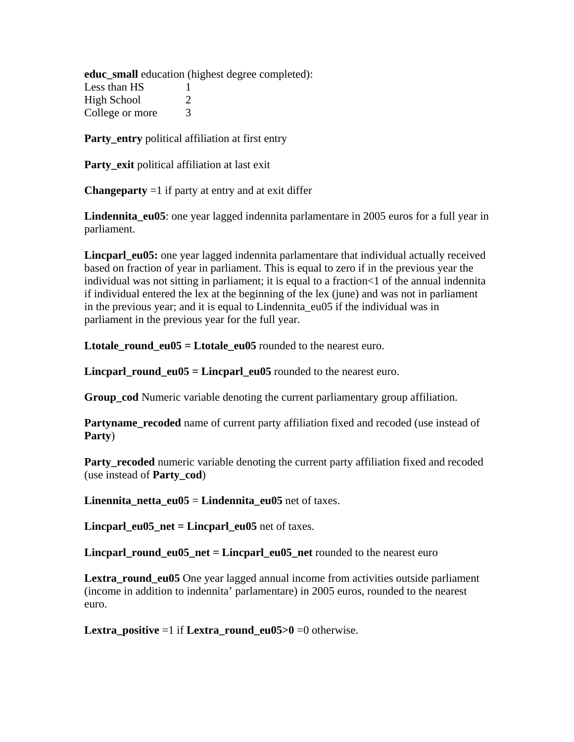**educ\_small** education (highest degree completed): Less than  $HS \t 1$ High School 2 College or more 3

**Party\_entry** political affiliation at first entry

**Party\_exit** political affiliation at last exit

**Changeparty**  $=1$  if party at entry and at exit differ

**Lindennita\_eu05**: one year lagged indennita parlamentare in 2005 euros for a full year in parliament.

**Lincparl\_eu05:** one year lagged indennita parlamentare that individual actually received based on fraction of year in parliament. This is equal to zero if in the previous year the individual was not sitting in parliament; it is equal to a fraction<1 of the annual indennita if individual entered the lex at the beginning of the lex (june) and was not in parliament in the previous year; and it is equal to Lindennita\_eu05 if the individual was in parliament in the previous year for the full year.

**Ltotale round**  $eu05 =$ **Ltotale**  $eu05$  **rounded** to the nearest euro.

**Lincparl** round  $eu05 = Linear$  **eu** $05$  rounded to the nearest euro.

**Group\_cod** Numeric variable denoting the current parliamentary group affiliation.

**Partyname** recoded name of current party affiliation fixed and recoded (use instead of **Party**)

**Party\_recoded** numeric variable denoting the current party affiliation fixed and recoded (use instead of **Party\_cod**)

**Linennita netta**  $eu05 =$  **<b>Lindennita**  $eu05$  net of taxes.

**Lincparl\_eu05\_net = Lincparl\_eu05** net of taxes.

**Lincparl\_round\_eu05\_net = Lincparl\_eu05\_net** rounded to the nearest euro

**Lextra round eu05** One year lagged annual income from activities outside parliament (income in addition to indennita' parlamentare) in 2005 euros, rounded to the nearest euro.

**Lextra** positive  $=1$  if **Lextra** round eu05>0  $=0$  otherwise.